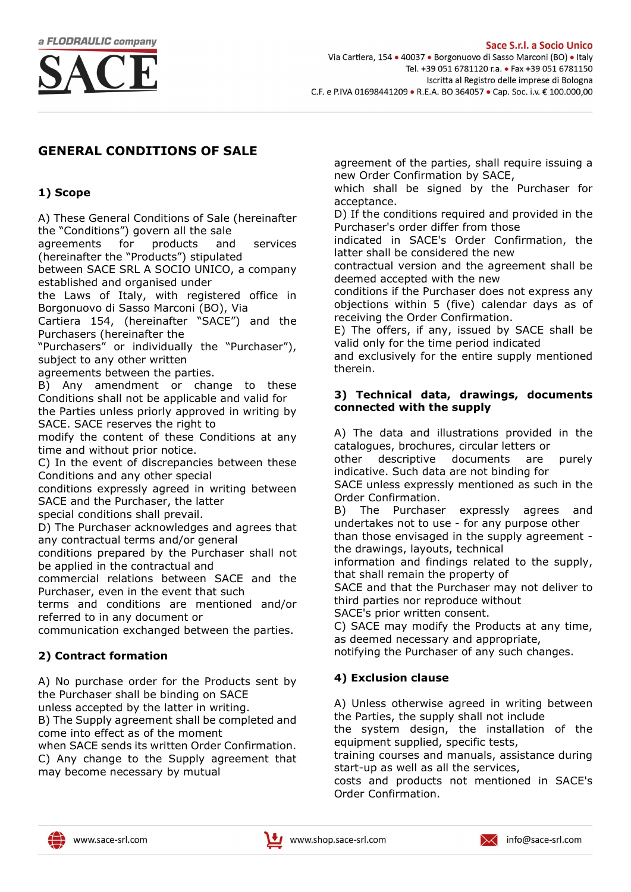

# GENERAL CONDITIONS OF SALE

### 1) Scope

A) These General Conditions of Sale (hereinafter the "Conditions") govern all the sale

agreements for products and services (hereinafter the "Products") stipulated

between SACE SRL A SOCIO UNICO, a company established and organised under

the Laws of Italy, with registered office in Borgonuovo di Sasso Marconi (BO), Via

Cartiera 154, (hereinafter "SACE") and the Purchasers (hereinafter the

"Purchasers" or individually the "Purchaser"), subject to any other written

agreements between the parties.

B) Any amendment or change to these Conditions shall not be applicable and valid for the Parties unless priorly approved in writing by

SACE. SACE reserves the right to modify the content of these Conditions at any

time and without prior notice. C) In the event of discrepancies between these Conditions and any other special

conditions expressly agreed in writing between SACE and the Purchaser, the latter

special conditions shall prevail.

D) The Purchaser acknowledges and agrees that any contractual terms and/or general

conditions prepared by the Purchaser shall not be applied in the contractual and

commercial relations between SACE and the Purchaser, even in the event that such

terms and conditions are mentioned and/or referred to in any document or

communication exchanged between the parties.

## 2) Contract formation

A) No purchase order for the Products sent by the Purchaser shall be binding on SACE

unless accepted by the latter in writing.

B) The Supply agreement shall be completed and come into effect as of the moment

when SACE sends its written Order Confirmation. C) Any change to the Supply agreement that may become necessary by mutual

agreement of the parties, shall require issuing a new Order Confirmation by SACE,

which shall be signed by the Purchaser for acceptance.

D) If the conditions required and provided in the Purchaser's order differ from those

indicated in SACE's Order Confirmation, the latter shall be considered the new

contractual version and the agreement shall be deemed accepted with the new

conditions if the Purchaser does not express any objections within 5 (five) calendar days as of receiving the Order Confirmation.

E) The offers, if any, issued by SACE shall be valid only for the time period indicated

and exclusively for the entire supply mentioned therein.

#### 3) Technical data, drawings, documents connected with the supply

A) The data and illustrations provided in the catalogues, brochures, circular letters or

other descriptive documents are purely indicative. Such data are not binding for

SACE unless expressly mentioned as such in the Order Confirmation.

B) The Purchaser expressly agrees and undertakes not to use - for any purpose other

than those envisaged in the supply agreement the drawings, layouts, technical

information and findings related to the supply, that shall remain the property of

SACE and that the Purchaser may not deliver to third parties nor reproduce without

SACE's prior written consent.

C) SACE may modify the Products at any time, as deemed necessary and appropriate,

notifying the Purchaser of any such changes.

## 4) Exclusion clause

A) Unless otherwise agreed in writing between the Parties, the supply shall not include

the system design, the installation of the equipment supplied, specific tests,

training courses and manuals, assistance during start-up as well as all the services,

costs and products not mentioned in SACE's Order Confirmation.

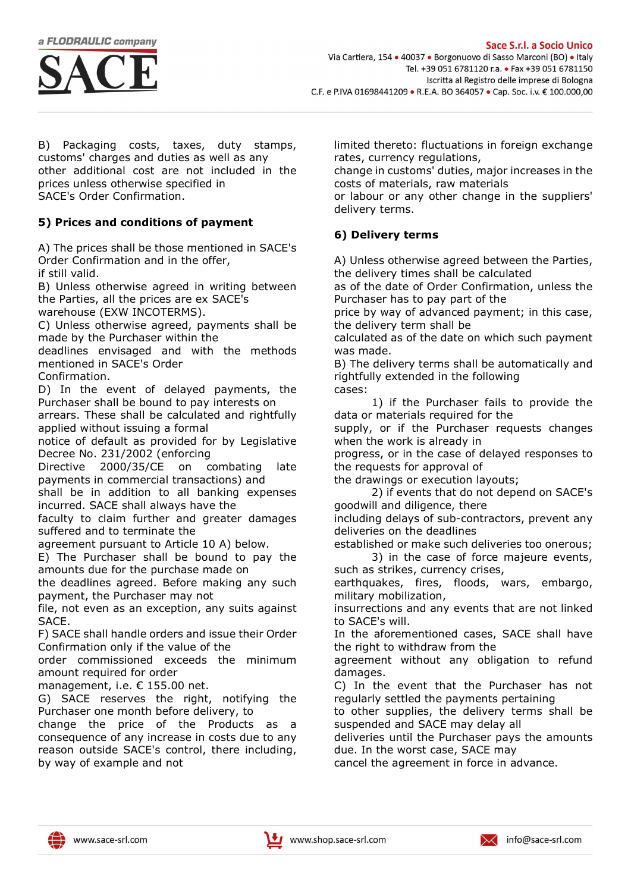

B) Packaging costs, taxes, duty stamps, customs' charges and duties as well as any other additional cost are not included in the prices unless otherwise specified in SACE's Order Confirmation.

### 5) Prices and conditions of payment

A) The prices shall be those mentioned in SACE's Order Confirmation and in the offer, if still valid.

B) Unless otherwise agreed in writing between the Parties, all the prices are ex SACE's warehouse (EXW INCOTERMS).

C) Unless otherwise agreed, payments shall be made by the Purchaser within the

deadlines envisaged and with the methods mentioned in SACE's Order

Confirmation.

D) In the event of delayed payments, the Purchaser shall be bound to pay interests on

arrears. These shall be calculated and rightfully applied without issuing a formal

notice of default as provided for by Legislative Decree No. 231/2002 (enforcing

Directive 2000/35/CE on combating late payments in commercial transactions) and

shall be in addition to all banking expenses incurred. SACE shall always have the

faculty to claim further and greater damages suffered and to terminate the

agreement pursuant to Article 10 A) below.

E) The Purchaser shall be bound to pay the amounts due for the purchase made on

the deadlines agreed. Before making any such payment, the Purchaser may not

file, not even as an exception, any suits against SACE.

F) SACE shall handle orders and issue their Order Confirmation only if the value of the

order commissioned exceeds the minimum amount required for order

management, i.e. € 155.00 net.

G) SACE reserves the right, notifying the Purchaser one month before delivery, to

change the price of the Products as a consequence of any increase in costs due to any reason outside SACE's control, there including, by way of example and not

limited thereto: fluctuations in foreign exchange rates, currency regulations,

change in customs' duties, major increases in the costs of materials, raw materials

or labour or any other change in the suppliers' delivery terms.

## 6) Delivery terms

A) Unless otherwise agreed between the Parties, the delivery times shall be calculated

as of the date of Order Confirmation, unless the Purchaser has to pay part of the

price by way of advanced payment; in this case, the delivery term shall be

calculated as of the date on which such payment was made.

B) The delivery terms shall be automatically and rightfully extended in the following cases:

1) if the Purchaser fails to provide the data or materials required for the

supply, or if the Purchaser requests changes when the work is already in

progress, or in the case of delayed responses to the requests for approval of

the drawings or execution layouts;

2) if events that do not depend on SACE's goodwill and diligence, there

including delays of sub-contractors, prevent any deliveries on the deadlines

established or make such deliveries too onerous; 3) in the case of force majeure events,

such as strikes, currency crises, earthquakes, fires, floods, wars, embargo, military mobilization,

insurrections and any events that are not linked to SACE's will.

In the aforementioned cases, SACE shall have the right to withdraw from the

agreement without any obligation to refund damages.

C) In the event that the Purchaser has not regularly settled the payments pertaining

to other supplies, the delivery terms shall be suspended and SACE may delay all

deliveries until the Purchaser pays the amounts due. In the worst case, SACE may

cancel the agreement in force in advance.

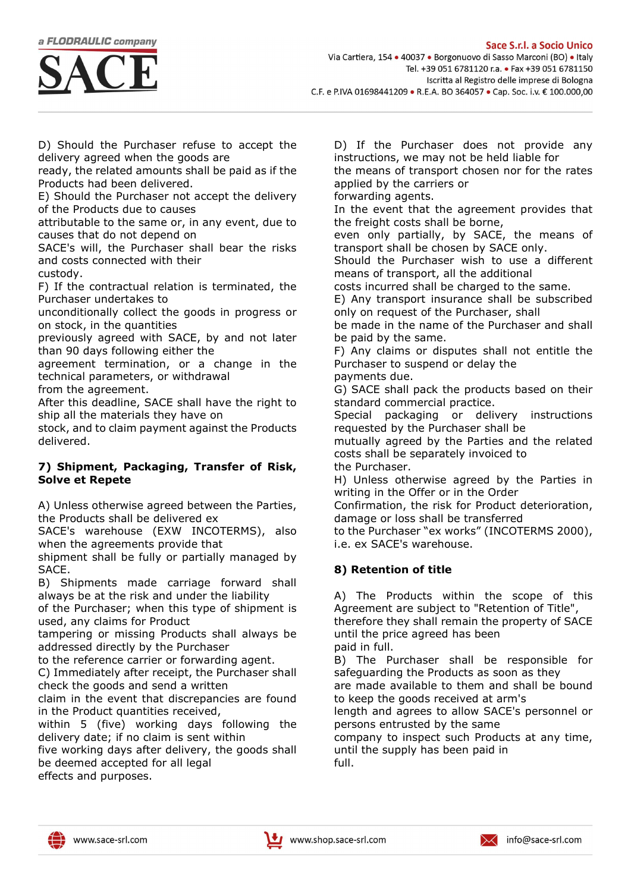



D) Should the Purchaser refuse to accept the delivery agreed when the goods are

ready, the related amounts shall be paid as if the Products had been delivered.

E) Should the Purchaser not accept the delivery of the Products due to causes

attributable to the same or, in any event, due to causes that do not depend on

SACE's will, the Purchaser shall bear the risks and costs connected with their custody.

F) If the contractual relation is terminated, the Purchaser undertakes to

unconditionally collect the goods in progress or on stock, in the quantities

previously agreed with SACE, by and not later than 90 days following either the

agreement termination, or a change in the technical parameters, or withdrawal

from the agreement.

After this deadline, SACE shall have the right to ship all the materials they have on

stock, and to claim payment against the Products delivered.

#### 7) Shipment, Packaging, Transfer of Risk, Solve et Repete

A) Unless otherwise agreed between the Parties, the Products shall be delivered ex

SACE's warehouse (EXW INCOTERMS), also when the agreements provide that

shipment shall be fully or partially managed by SACE.

B) Shipments made carriage forward shall always be at the risk and under the liability

of the Purchaser; when this type of shipment is used, any claims for Product

tampering or missing Products shall always be addressed directly by the Purchaser

to the reference carrier or forwarding agent.

C) Immediately after receipt, the Purchaser shall check the goods and send a written

claim in the event that discrepancies are found in the Product quantities received,

within 5 (five) working days following the delivery date; if no claim is sent within

five working days after delivery, the goods shall be deemed accepted for all legal effects and purposes.

D) If the Purchaser does not provide any instructions, we may not be held liable for

the means of transport chosen nor for the rates applied by the carriers or

forwarding agents.

In the event that the agreement provides that the freight costs shall be borne,

even only partially, by SACE, the means of transport shall be chosen by SACE only.

Should the Purchaser wish to use a different means of transport, all the additional

costs incurred shall be charged to the same.

E) Any transport insurance shall be subscribed only on request of the Purchaser, shall

be made in the name of the Purchaser and shall be paid by the same.

F) Any claims or disputes shall not entitle the Purchaser to suspend or delay the

payments due.

G) SACE shall pack the products based on their standard commercial practice.

Special packaging or delivery instructions requested by the Purchaser shall be

mutually agreed by the Parties and the related costs shall be separately invoiced to the Purchaser.

H) Unless otherwise agreed by the Parties in writing in the Offer or in the Order

Confirmation, the risk for Product deterioration, damage or loss shall be transferred

to the Purchaser "ex works" (INCOTERMS 2000), i.e. ex SACE's warehouse.

## 8) Retention of title

A) The Products within the scope of this Agreement are subject to "Retention of Title", therefore they shall remain the property of SACE until the price agreed has been

paid in full.

B) The Purchaser shall be responsible for safeguarding the Products as soon as they

are made available to them and shall be bound to keep the goods received at arm's

length and agrees to allow SACE's personnel or persons entrusted by the same

company to inspect such Products at any time, until the supply has been paid in full.



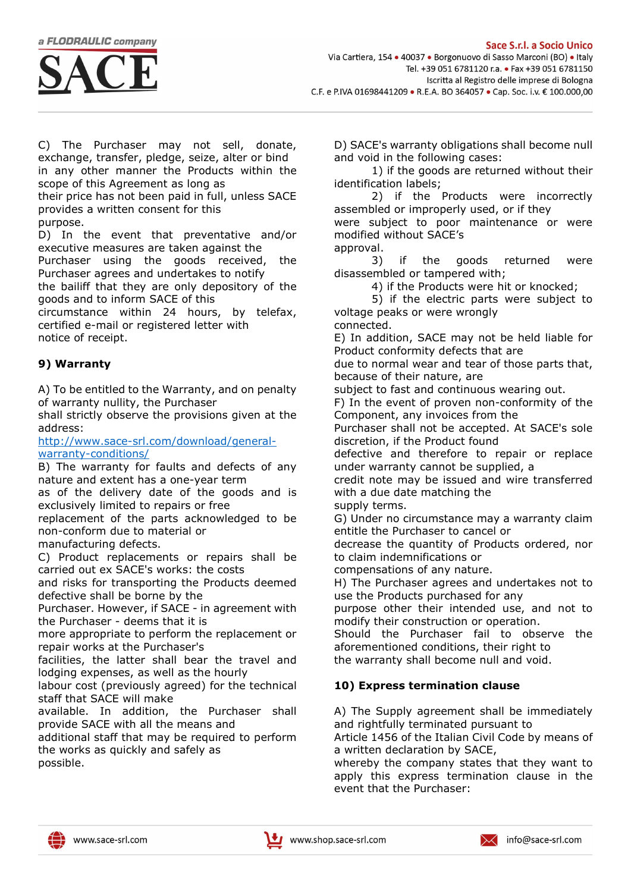a FLODRAULIC company



C) The Purchaser may not sell, donate, exchange, transfer, pledge, seize, alter or bind in any other manner the Products within the scope of this Agreement as long as

their price has not been paid in full, unless SACE provides a written consent for this

purpose.

D) In the event that preventative and/or executive measures are taken against the Purchaser using the goods received, the Purchaser agrees and undertakes to notify the bailiff that they are only depository of the goods and to inform SACE of this

circumstance within 24 hours, by telefax, certified e-mail or registered letter with notice of receipt.

## 9) Warranty

A) To be entitled to the Warranty, and on penalty of warranty nullity, the Purchaser

shall strictly observe the provisions given at the address:

http://www.sace-srl.com/download/generalwarranty-conditions/

B) The warranty for faults and defects of any nature and extent has a one-year term

as of the delivery date of the goods and is exclusively limited to repairs or free

replacement of the parts acknowledged to be non-conform due to material or

manufacturing defects.

C) Product replacements or repairs shall be carried out ex SACE's works: the costs

and risks for transporting the Products deemed defective shall be borne by the

Purchaser. However, if SACE - in agreement with the Purchaser - deems that it is

more appropriate to perform the replacement or repair works at the Purchaser's

facilities, the latter shall bear the travel and lodging expenses, as well as the hourly

labour cost (previously agreed) for the technical staff that SACE will make

available. In addition, the Purchaser shall provide SACE with all the means and

additional staff that may be required to perform the works as quickly and safely as possible.

D) SACE's warranty obligations shall become null and void in the following cases:

1) if the goods are returned without their identification labels;

2) if the Products were incorrectly assembled or improperly used, or if they

were subject to poor maintenance or were modified without SACE's approval.

3) if the goods returned were disassembled or tampered with;

4) if the Products were hit or knocked;

5) if the electric parts were subject to voltage peaks or were wrongly connected.

E) In addition, SACE may not be held liable for Product conformity defects that are

due to normal wear and tear of those parts that, because of their nature, are

subject to fast and continuous wearing out.

F) In the event of proven non-conformity of the Component, any invoices from the

Purchaser shall not be accepted. At SACE's sole discretion, if the Product found

defective and therefore to repair or replace under warranty cannot be supplied, a

credit note may be issued and wire transferred with a due date matching the

supply terms.

G) Under no circumstance may a warranty claim entitle the Purchaser to cancel or

decrease the quantity of Products ordered, nor to claim indemnifications or

compensations of any nature.

H) The Purchaser agrees and undertakes not to use the Products purchased for any

purpose other their intended use, and not to modify their construction or operation.

Should the Purchaser fail to observe the aforementioned conditions, their right to

the warranty shall become null and void.

## 10) Express termination clause

A) The Supply agreement shall be immediately and rightfully terminated pursuant to

Article 1456 of the Italian Civil Code by means of a written declaration by SACE,

whereby the company states that they want to apply this express termination clause in the event that the Purchaser:



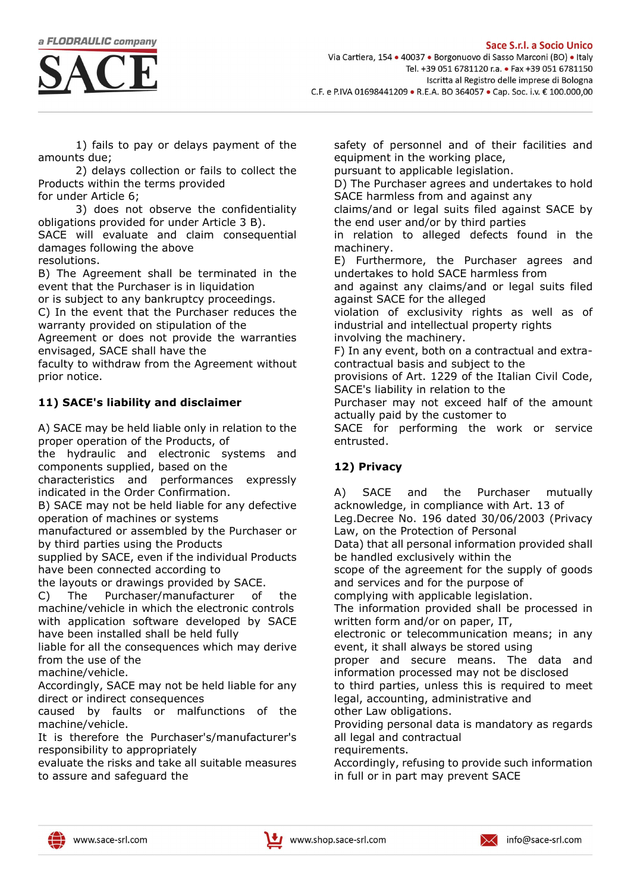

1) fails to pay or delays payment of the amounts due;

2) delays collection or fails to collect the Products within the terms provided for under Article 6;

3) does not observe the confidentiality obligations provided for under Article 3 B). SACE will evaluate and claim consequential damages following the above

resolutions.

B) The Agreement shall be terminated in the event that the Purchaser is in liquidation

or is subject to any bankruptcy proceedings. C) In the event that the Purchaser reduces the

warranty provided on stipulation of the Agreement or does not provide the warranties envisaged, SACE shall have the

faculty to withdraw from the Agreement without prior notice.

## 11) SACE's liability and disclaimer

A) SACE may be held liable only in relation to the proper operation of the Products, of

the hydraulic and electronic systems and components supplied, based on the

characteristics and performances expressly indicated in the Order Confirmation.

B) SACE may not be held liable for any defective operation of machines or systems

manufactured or assembled by the Purchaser or by third parties using the Products

supplied by SACE, even if the individual Products have been connected according to

the layouts or drawings provided by SACE.

C) The Purchaser/manufacturer of the machine/vehicle in which the electronic controls with application software developed by SACE have been installed shall be held fully

liable for all the consequences which may derive from the use of the

machine/vehicle.

Accordingly, SACE may not be held liable for any direct or indirect consequences

caused by faults or malfunctions of the machine/vehicle.

It is therefore the Purchaser's/manufacturer's responsibility to appropriately

evaluate the risks and take all suitable measures to assure and safeguard the

safety of personnel and of their facilities and equipment in the working place,

pursuant to applicable legislation.

D) The Purchaser agrees and undertakes to hold SACE harmless from and against any

claims/and or legal suits filed against SACE by the end user and/or by third parties

in relation to alleged defects found in the machinery.

E) Furthermore, the Purchaser agrees and undertakes to hold SACE harmless from

and against any claims/and or legal suits filed against SACE for the alleged

violation of exclusivity rights as well as of industrial and intellectual property rights involving the machinery.

F) In any event, both on a contractual and extracontractual basis and subject to the

provisions of Art. 1229 of the Italian Civil Code, SACE's liability in relation to the

Purchaser may not exceed half of the amount actually paid by the customer to

SACE for performing the work or service entrusted.

## 12) Privacy

A) SACE and the Purchaser mutually acknowledge, in compliance with Art. 13 of

Leg.Decree No. 196 dated 30/06/2003 (Privacy Law, on the Protection of Personal

Data) that all personal information provided shall be handled exclusively within the

scope of the agreement for the supply of goods and services and for the purpose of

complying with applicable legislation.

The information provided shall be processed in written form and/or on paper, IT,

electronic or telecommunication means; in any event, it shall always be stored using

proper and secure means. The data and information processed may not be disclosed

to third parties, unless this is required to meet legal, accounting, administrative and other Law obligations.

Providing personal data is mandatory as regards all legal and contractual

requirements.

Accordingly, refusing to provide such information in full or in part may prevent SACE